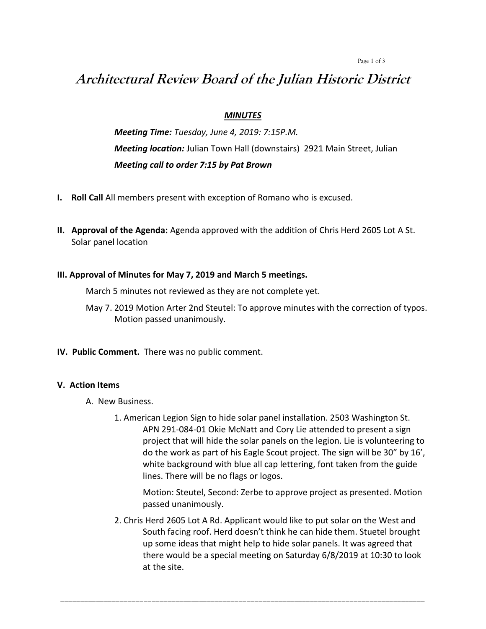Page 1 of 3

# **Architectural Review Board of the Julian Historic District**

# *MINUTES*

*Meeting Time: Tuesday, June 4, 2019: 7:15P.M. Meeting location:* Julian Town Hall (downstairs) 2921 Main Street, Julian *Meeting call to order 7:15 by Pat Brown*

- **I. Roll Call** All members present with exception of Romano who is excused.
- **II. Approval of the Agenda:** Agenda approved with the addition of Chris Herd 2605 Lot A St. Solar panel location

# **III. Approval of Minutes for May 7, 2019 and March 5 meetings.**

March 5 minutes not reviewed as they are not complete yet.

- May 7. 2019 Motion Arter 2nd Steutel: To approve minutes with the correction of typos. Motion passed unanimously.
- **IV. Public Comment.** There was no public comment.

### **V. Action Items**

- A. New Business.
	- 1. American Legion Sign to hide solar panel installation. 2503 Washington St. APN 291-084-01 Okie McNatt and Cory Lie attended to present a sign project that will hide the solar panels on the legion. Lie is volunteering to do the work as part of his Eagle Scout project. The sign will be 30" by 16', white background with blue all cap lettering, font taken from the guide lines. There will be no flags or logos.

Motion: Steutel, Second: Zerbe to approve project as presented. Motion passed unanimously.

2. Chris Herd 2605 Lot A Rd. Applicant would like to put solar on the West and South facing roof. Herd doesn't think he can hide them. Stuetel brought up some ideas that might help to hide solar panels. It was agreed that there would be a special meeting on Saturday 6/8/2019 at 10:30 to look at the site.

\_\_\_\_\_\_\_\_\_\_\_\_\_\_\_\_\_\_\_\_\_\_\_\_\_\_\_\_\_\_\_\_\_\_\_\_\_\_\_\_\_\_\_\_\_\_\_\_\_\_\_\_\_\_\_\_\_\_\_\_\_\_\_\_\_\_\_\_\_\_\_\_\_\_\_\_\_\_\_\_\_\_\_\_\_\_\_\_\_\_\_\_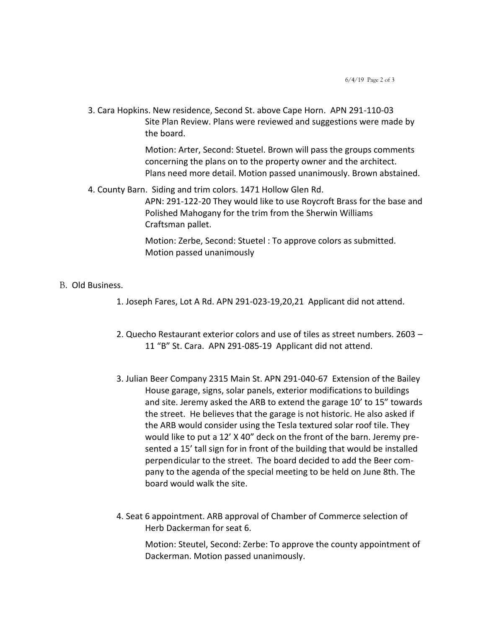3. Cara Hopkins. New residence, Second St. above Cape Horn. APN 291-110-03 Site Plan Review. Plans were reviewed and suggestions were made by the board.

> Motion: Arter, Second: Stuetel. Brown will pass the groups comments concerning the plans on to the property owner and the architect. Plans need more detail. Motion passed unanimously. Brown abstained.

4. County Barn. Siding and trim colors. 1471 Hollow Glen Rd.

APN: 291-122-20 They would like to use Roycroft Brass for the base and Polished Mahogany for the trim from the Sherwin Williams Craftsman pallet.

Motion: Zerbe, Second: Stuetel : To approve colors as submitted. Motion passed unanimously

#### B. Old Business.

- 1. Joseph Fares, Lot A Rd. APN 291-023-19,20,21 Applicant did not attend.
- 2. Quecho Restaurant exterior colors and use of tiles as street numbers. 2603 11 "B" St. Cara. APN 291-085-19 Applicant did not attend.
- 3. Julian Beer Company 2315 Main St. APN 291-040-67 Extension of the Bailey House garage, signs, solar panels, exterior modifications to buildings and site. Jeremy asked the ARB to extend the garage 10' to 15" towards the street. He believes that the garage is not historic. He also asked if the ARB would consider using the Tesla textured solar roof tile. They would like to put a 12' X 40" deck on the front of the barn. Jeremy presented a 15' tall sign for in front of the building that would be installed perpendicular to the street. The board decided to add the Beer company to the agenda of the special meeting to be held on June 8th. The board would walk the site.
- 4. Seat 6 appointment. ARB approval of Chamber of Commerce selection of Herb Dackerman for seat 6.

Motion: Steutel, Second: Zerbe: To approve the county appointment of Dackerman. Motion passed unanimously.